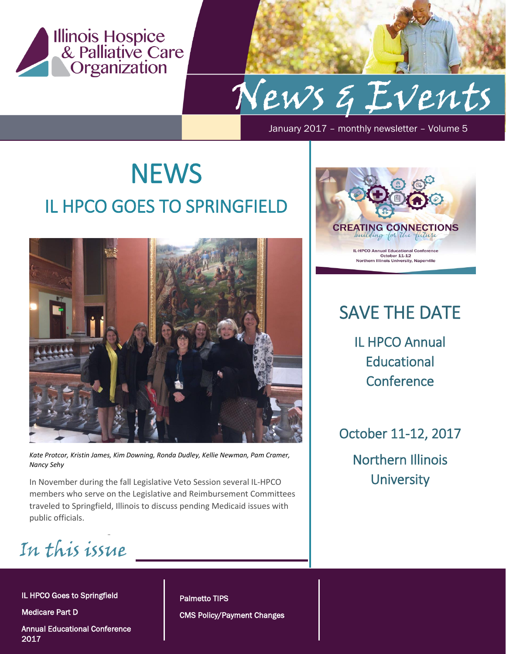

January 2017 – monthly newsletter – Volume 5

## **NEWS** IL HPCO GOES TO SPRINGFIELD



*Kate Protcor, Kristin James, Kim Downing, Ronda Dudley, Kellie Newman, Pam Cramer, Nancy Sehy*

In November during the fall Legislative Veto Session several IL-HPCO members who serve on the Legislative and Reimbursement Committees traveled to Springfield, Illinois to discuss pending Medicaid issues with public officials.

In this issue  *2* 

IL HPCO Goes to Springfield

Medicare Part D

Annual Educational Conference 2017

Palmetto TIPS CMS Policy/Payment Changes



### SAVE THE DATE

IL HPCO Annual **Educational Conference** 

October 11-12, 2017 Northern Illinois **University**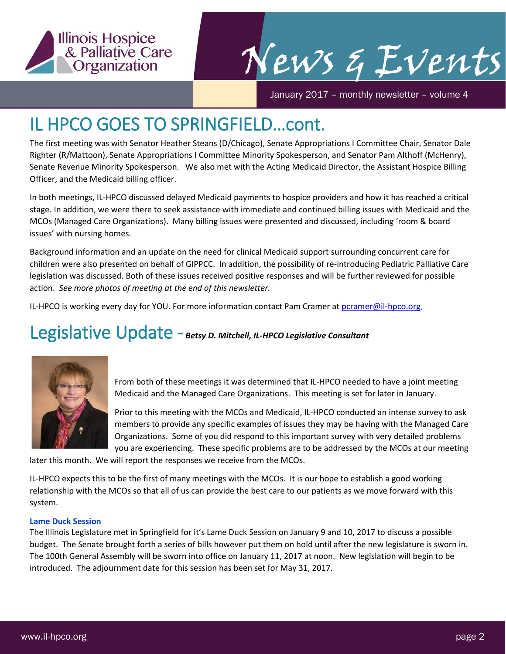

January 2017 – monthly newsletter – volume 4

### IL HPCO GOES TO SPRINGFIELD…cont.

The first meeting was with Senator Heather Steans (D/Chicago), Senate Appropriations I Committee Chair, Senator Dale Righter (R/Mattoon), Senate Appropriations I Committee Minority Spokesperson, and Senator Pam Althoff (McHenry), Senate Revenue Minority Spokesperson. We also met with the Acting Medicaid Director, the Assistant Hospice Billing Officer, and the Medicaid billing officer.

In both meetings, IL-HPCO discussed delayed Medicaid payments to hospice providers and how it has reached a critical stage. In addition, we were there to seek assistance with immediate and continued billing issues with Medicaid and the MCOs (Managed Care Organizations). Many billing issues were presented and discussed, including 'room & board issues' with nursing homes.

Background information and an update on the need for clinical Medicaid support surrounding concurrent care for children were also presented on behalf of GIPPCC. In addition, the possibility of re-introducing Pediatric Palliative Care legislation was discussed. Both of these issues received positive responses and will be further reviewed for possible action. *See more photos of meeting at the end of this newsletter.*

IL-HPCO is working every day for YOU. For more information contact Pam Cramer at [pcramer@il-hpco.org.](mailto:pcramer@il-hpco.org)

#### Legislative Update - *Betsy D. Mitchell, IL-HPCO Legislative Consultant*



From both of these meetings it was determined that IL-HPCO needed to have a joint meeting Medicaid and the Managed Care Organizations. This meeting is set for later in January.

Prior to this meeting with the MCOs and Medicaid, IL-HPCO conducted an intense survey to ask members to provide any specific examples of issues they may be having with the Managed Care Organizations. Some of you did respond to this important survey with very detailed problems you are experiencing. These specific problems are to be addressed by the MCOs at our meeting

later this month. We will report the responses we receive from the MCOs.

IL-HPCO expects this to be the first of many meetings with the MCOs. It is our hope to establish a good working relationship with the MCOs so that all of us can provide the best care to our patients as we move forward with this system.

#### **Lame Duck Session**

The Illinois Legislature met in Springfield for it's Lame Duck Session on January 9 and 10, 2017 to discuss a possible budget. The Senate brought forth a series of bills however put them on hold until after the new legislature is sworn in. The 100th General Assembly will be sworn into office on January 11, 2017 at noon. New legislation will begin to be introduced. The adjournment date for this session has been set for May 31, 2017.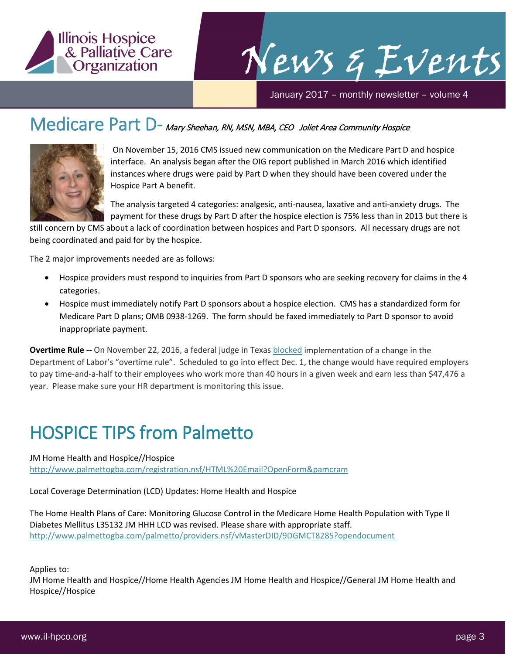

January 2017 – monthly newsletter – volume 4

### Medicare Part D- Mary Sheehan, RN, MSN, MBA, CEO Joliet Area Community Hospice



On November 15, 2016 CMS issued new communication on the Medicare Part D and hospice interface. An analysis began after the OIG report published in March 2016 which identified instances where drugs were paid by Part D when they should have been covered under the Hospice Part A benefit.

The analysis targeted 4 categories: analgesic, anti-nausea, laxative and anti-anxiety drugs. The payment for these drugs by Part D after the hospice election is 75% less than in 2013 but there is

still concern by CMS about a lack of coordination between hospices and Part D sponsors. All necessary drugs are not being coordinated and paid for by the hospice.

The 2 major improvements needed are as follows:

- Hospice providers must respond to inquiries from Part D sponsors who are seeking recovery for claims in the 4 categories.
- Hospice must immediately notify Part D sponsors about a hospice election. CMS has a standardized form for Medicare Part D plans; OMB 0938-1269. The form should be faxed immediately to Part D sponsor to avoid inappropriate payment.

**Overtime Rule --** On November 22, 2016, a federal judge in Texa[s blocked](http://www.npr.org/sections/thetwo-way/2016/11/22/503081151/federal-judge-blocks-obama-administrations-overtime-pay-rule) implementation of a change in the Department of Labor's "overtime rule". Scheduled to go into effect Dec. 1, the change would have required employers to pay time-and-a-half to their employees who work more than 40 hours in a given week and earn less than \$47,476 a year. Please make sure your HR department is monitoring this issue.

### HOSPICE TIPS from Palmetto

#### JM Home Health and Hospice//Hospice

<http://www.palmettogba.com/registration.nsf/HTML%20Email?OpenForm&pamcram>

Local Coverage Determination (LCD) Updates: Home Health and Hospice

The Home Health Plans of Care: Monitoring Glucose Control in the Medicare Home Health Population with Type II Diabetes Mellitus L35132 JM HHH LCD was revised. Please share with appropriate staff. <http://www.palmettogba.com/palmetto/providers.nsf/vMasterDID/9DGMCT8285?opendocument>

Applies to:

JM Home Health and Hospice//Home Health Agencies JM Home Health and Hospice//General JM Home Health and Hospice//Hospice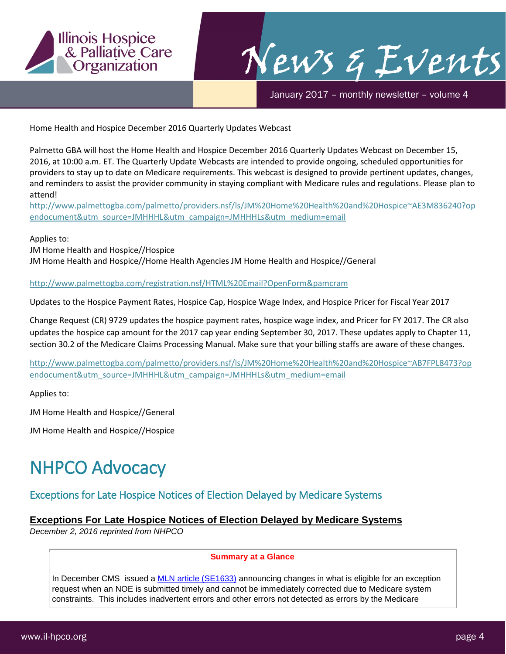

January 2017 – monthly newsletter – volume 4

Home Health and Hospice December 2016 Quarterly Updates Webcast

Palmetto GBA will host the Home Health and Hospice December 2016 Quarterly Updates Webcast on December 15, 2016, at 10:00 a.m. ET. The Quarterly Update Webcasts are intended to provide ongoing, scheduled opportunities for providers to stay up to date on Medicare requirements. This webcast is designed to provide pertinent updates, changes, and reminders to assist the provider community in staying compliant with Medicare rules and regulations. Please plan to attend!

[http://www.palmettogba.com/palmetto/providers.nsf/ls/JM%20Home%20Health%20and%20Hospice~AE3M836240?op](http://www.palmettogba.com/palmetto/providers.nsf/ls/JM%20Home%20Health%20and%20Hospice%7EAE3M836240?opendocument&utm_source=JMHHHL&utm_campaign=JMHHHLs&utm_medium=email) [endocument&utm\\_source=JMHHHL&utm\\_campaign=JMHHHLs&utm\\_medium=email](http://www.palmettogba.com/palmetto/providers.nsf/ls/JM%20Home%20Health%20and%20Hospice%7EAE3M836240?opendocument&utm_source=JMHHHL&utm_campaign=JMHHHLs&utm_medium=email)

Applies to:

JM Home Health and Hospice//Hospice

JM Home Health and Hospice//Home Health Agencies JM Home Health and Hospice//General

<http://www.palmettogba.com/registration.nsf/HTML%20Email?OpenForm&pamcram>

Updates to the Hospice Payment Rates, Hospice Cap, Hospice Wage Index, and Hospice Pricer for Fiscal Year 2017

Change Request (CR) 9729 updates the hospice payment rates, hospice wage index, and Pricer for FY 2017. The CR also updates the hospice cap amount for the 2017 cap year ending September 30, 2017. These updates apply to Chapter 11, section 30.2 of the Medicare Claims Processing Manual. Make sure that your billing staffs are aware of these changes.

[http://www.palmettogba.com/palmetto/providers.nsf/ls/JM%20Home%20Health%20and%20Hospice~AB7FPL8473?op](http://www.palmettogba.com/palmetto/providers.nsf/ls/JM%20Home%20Health%20and%20Hospice%7EAB7FPL8473?opendocument&utm_source=JMHHHL&utm_campaign=JMHHHLs&utm_medium=email) [endocument&utm\\_source=JMHHHL&utm\\_campaign=JMHHHLs&utm\\_medium=email](http://www.palmettogba.com/palmetto/providers.nsf/ls/JM%20Home%20Health%20and%20Hospice%7EAB7FPL8473?opendocument&utm_source=JMHHHL&utm_campaign=JMHHHLs&utm_medium=email)

Applies to:

JM Home Health and Hospice//General

JM Home Health and Hospice//Hospice

### NHPCO Advocacy

#### Exceptions for Late Hospice Notices of Election Delayed by Medicare Systems

#### **Exceptions For Late Hospice Notices of Election Delayed by Medicare Systems**

*December 2, 2016 reprinted from NHPCO*

#### **Summary at a Glance**

In December CMS issued a [MLN article \(SE1633\)](http://nhpco-netforum.informz.net/z/cjUucD9taT01NzUxNTA0JnA9MSZ1PTg0ODc4ODYxOCZsaT0zOTUxNjIxMA/index.html) announcing changes in what is eligible for an exception request when an NOE is submitted timely and cannot be immediately corrected due to Medicare system constraints. This includes inadvertent errors and other errors not detected as errors by the Medicare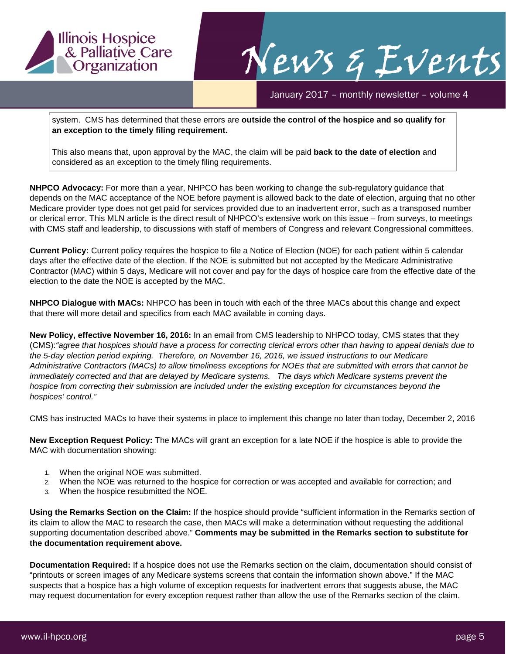

January 2017 – monthly newsletter – volume 4

system. CMS has determined that these errors are **outside the control of the hospice and so qualify for an exception to the timely filing requirement.**

This also means that, upon approval by the MAC, the claim will be paid **back to the date of election** and considered as an exception to the timely filing requirements.

**NHPCO Advocacy:** For more than a year, NHPCO has been working to change the sub-regulatory guidance that depends on the MAC acceptance of the NOE before payment is allowed back to the date of election, arguing that no other Medicare provider type does not get paid for services provided due to an inadvertent error, such as a transposed number or clerical error. This MLN article is the direct result of NHPCO's extensive work on this issue – from surveys, to meetings with CMS staff and leadership, to discussions with staff of members of Congress and relevant Congressional committees.

**Current Policy:** Current policy requires the hospice to file a Notice of Election (NOE) for each patient within 5 calendar days after the effective date of the election. If the NOE is submitted but not accepted by the Medicare Administrative Contractor (MAC) within 5 days, Medicare will not cover and pay for the days of hospice care from the effective date of the election to the date the NOE is accepted by the MAC.

**NHPCO Dialogue with MACs:** NHPCO has been in touch with each of the three MACs about this change and expect that there will more detail and specifics from each MAC available in coming days.

**New Policy, effective November 16, 2016:** In an email from CMS leadership to NHPCO today, CMS states that they (CMS):*"agree that hospices should have a process for correcting clerical errors other than having to appeal denials due to the 5-day election period expiring. Therefore, on November 16, 2016, we issued instructions to our Medicare Administrative Contractors (MACs) to allow timeliness exceptions for NOEs that are submitted with errors that cannot be immediately corrected and that are delayed by Medicare systems. The days which Medicare systems prevent the hospice from correcting their submission are included under the existing exception for circumstances beyond the hospices' control."* 

CMS has instructed MACs to have their systems in place to implement this change no later than today, December 2, 2016

**New Exception Request Policy:** The MACs will grant an exception for a late NOE if the hospice is able to provide the MAC with documentation showing:

- 1. When the original NOE was submitted.
- 2. When the NOE was returned to the hospice for correction or was accepted and available for correction; and
- 3. When the hospice resubmitted the NOE.

**Using the Remarks Section on the Claim:** If the hospice should provide "sufficient information in the Remarks section of its claim to allow the MAC to research the case, then MACs will make a determination without requesting the additional supporting documentation described above." **Comments may be submitted in the Remarks section to substitute for the documentation requirement above.**

**Documentation Required:** If a hospice does not use the Remarks section on the claim, documentation should consist of "printouts or screen images of any Medicare systems screens that contain the information shown above." If the MAC suspects that a hospice has a high volume of exception requests for inadvertent errors that suggests abuse, the MAC may request documentation for every exception request rather than allow the use of the Remarks section of the claim.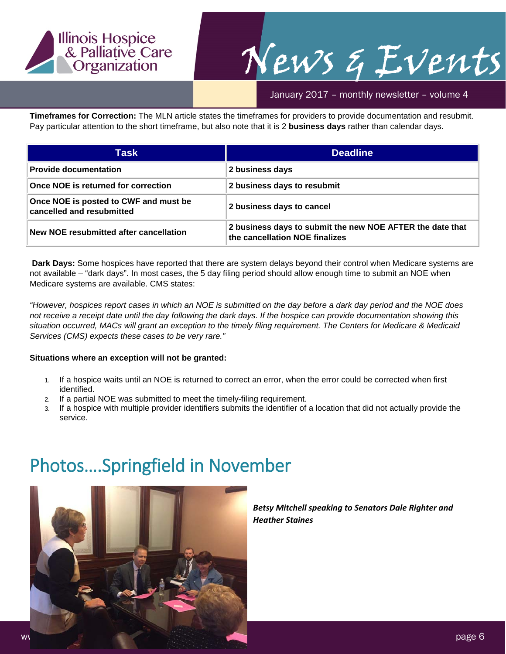

January 2017 – monthly newsletter – volume 4

**Timeframes for Correction:** The MLN article states the timeframes for providers to provide documentation and resubmit. Pay particular attention to the short timeframe, but also note that it is 2 **business days** rather than calendar days.

| Task                                                               | <b>Deadline</b>                                                                             |
|--------------------------------------------------------------------|---------------------------------------------------------------------------------------------|
| <b>Provide documentation</b>                                       | 2 business days                                                                             |
| Once NOE is returned for correction                                | 2 business days to resubmit                                                                 |
| Once NOE is posted to CWF and must be<br>cancelled and resubmitted | 2 business days to cancel                                                                   |
| New NOE resubmitted after cancellation                             | 2 business days to submit the new NOE AFTER the date that<br>the cancellation NOE finalizes |

**Dark Days:** Some hospices have reported that there are system delays beyond their control when Medicare systems are not available – "dark days". In most cases, the 5 day filing period should allow enough time to submit an NOE when Medicare systems are available. CMS states:

*"However, hospices report cases in which an NOE is submitted on the day before a dark day period and the NOE does not receive a receipt date until the day following the dark days. If the hospice can provide documentation showing this situation occurred, MACs will grant an exception to the timely filing requirement. The Centers for Medicare & Medicaid Services (CMS) expects these cases to be very rare."*

#### **Situations where an exception will not be granted:**

- 1. If a hospice waits until an NOE is returned to correct an error, when the error could be corrected when first identified.
- 2. If a partial NOE was submitted to meet the timely-filing requirement.
- 3. If a hospice with multiple provider identifiers submits the identifier of a location that did not actually provide the service.

### Photos….Springfield in November



*Betsy Mitchell speaking to Senators Dale Righter and Heather Staines*